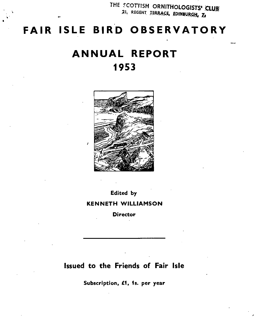THE SCOTTISH ORNITHOLOGISTS' CLUB 21, REGENT TERRACE, EDINBURGH, Z

# **FAIR ISLE BIRD OBSERVATORY**

.,.

# **ANNUAL REPORT 1953**



Edited by

KENNETH WILLlAMSON

**Director** 

## Issued to the Friends of Fair Isle

Subscription, £1, 1s. per year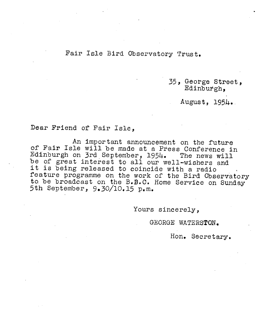### Fair Isle Bird Observatory Trust.

35, George street, Edinburgh,

August, 1954.

### Dear Friend of Fair Isle,

An important announcement on the future of Fair Isle will be made at a Fress Conference in Edinburgh on 3rd September, 1954. The news will be of great interest to all our well-wishers and it is being released to coincide with a radio feature programme on the work of the Bird Observatory to be broadcast on the B.B.C. Home Service on Sunday 5th September, 9.30/10.15 p.m.

Yours sincerely,

GEORGE WATERSTON.

Hon. Secretary.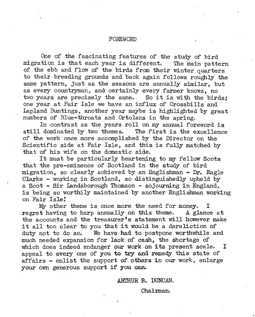#### *FOREWORD*

One of the fascinating features of the study of bird migration is that each year is different. The main pattern of the ebb and flow of the birds from their winter quarters to their breeding grounds and back again follows roughly the same pattern, just as the seasons are annually similar, but as every countryman, and certainly every farmer knows, no two years are precisely the same. So it is with the birds: one year at Fair Isle we have an influx of Crossbills and Lapland Buntings, another year maybe is highlighted by great numbers of Blue-throats and Ortolans in the spring.

In contrast as the years roll on my annual foreword is<br>dominated by two themes. The first is the excellence still dominated by two themes. of the work once more accomplished by the Director on the Scientific side at Fair Isle, and this is fully matched by that of his wife on the domestic side.

It must be particularly heartening to my fellow Scots that the pre-eminence of Scotland in the study of bird migration, so clearly achieved by an Englishman - Dr. Eagle Clarke - working in Scotland, so distinguishedly upheld by a Scot - Sir Landsborough Thomson - sojourning in England, is being so worthily maintained by another Englishman working on Fair Isle!

My other theme is once more the need for money. I<br>It having to harp annually on this theme. A glance at  $r$ egret having to harp annually on this theme. the accounts and the treasurer's statement will however make it all too clear to you that it would be a dereliction of duty not to do so. We have had to postpone worthwhile a We have had to postpone worthwhile and much needed expansion for lack of cash, the shortage of which does indeed endanger our work on its present scale. I appeal to every one of you to try and remedy this state of affairs - enlist the support of others in our work, enlarge your own generous support if you can.

ARTHUR B. DUNCAN.

Chairman.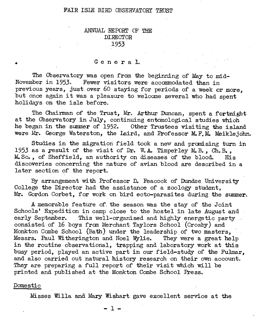#### FAIR ISLE BIRD OBSERVATORY TRUST

#### .ANNUAL REPORT OF THE DIRECTOR 1953

#### General .

The Observatory was open from the beginning of May to mid-November in 1953. Fewer visitors were accommodated than in previous years, just over 60 staying for periods of a week or more, but once again it was a pleasure to welcome several who had spent holidavs on the isle before.

The Chairman of the Trust, Mr. Arthur Duncan, spent a fortnight at the Observatory in July, continuing entomological studies which he began in the summer of 1952. Other Trustees visiting the island were Mr. George Waterston, the Laird, and Professor M.F.M. Meiklejohn.

Studies in the migration field took a new and pranising turn in 1953 as a result of the visit of Dr. W. A. Timperley M. B., Ch. B., M. Sc., of Sheffield, an authority on diseases of the blood. His M. Sc., of Sheffield, an authority on diseases of the blood. discoveries concerning the nature of avian blood are described in a later section of the report.

By arrangement with Professor D. Peacock of Dundee University College the Director had the assistance of a zoology student. Mr. Gordon Corbet, for work on bird ecto-parasites during the summer.

A memorable feature of the season was the stay of the Joint Schools' Expedition in camp close to the hostel in late August and early September. This well-organised and highly energetic party This well-organised and highly energetic party consisted of 16 boys from Merchant Taylors School (Crosby) and Monkton Combe School (Bath) under the leadership of two masters, Messrs. Paul Witherington and Noel Wylie. They were a great help in the routine observational, trapping and laboratory work at this busy period, played an active part in our field-study of the Fulmar, and also carried out natural history research on their own account. They are preparing a full report of their visit which will be printed and published at the Monkton Combe School Press.

#### Domestic

•

Misses Willa and Mary Wishart gave excellent service at the

 $-1 -$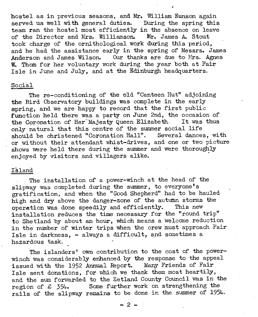hostel as in previous seasons, and Mr. William Eunson again served us well with general duties. During the spring this team ran the hostel most efficiently in the absence on leave of the Director and Mrs. Williamson. Mr. James A. Stout took charge of the ornithological work during this period, and he had the assistance early in the spring of Messrs. James<br>Anderson and James Wilson. Our thanks are due to Mrs. Agnes Our thanks are due to Mrs. Agnes W. Thom for her voluntary work during the year both at Fair Isle in June and July, and at the Edinburgh headquarters.

#### Social

The re-conditioning of the old "Canteen Hut" adjoining the Bird Observatory buildings was complete in the early spring, and we are happy to record that the first public  $f$ unction held there was a party on June 2nd, the occasion of the Coronation of Her<sup>-Majesty Queen Elizabeth.</sup> It was thus only natural that this centre of the summer social life should be christened "Coronation Hall". Several dances, with or without their attendant whist-drives, and one or two picture shows were held there during the summer and were thoroughly enjoyed by visitors and villagers alike.

#### Island

The installation of a power-winch at the head of the slipway was completed during the summer, to everyone's gratification, and when the "Good Shepherd" had to be hauled high and dry above the danger-zone of the autumn storms the operation was done speedily and efficiently. This new operation was done speedily and efficiently. installation reduces the time necessary for the "round trip" to Shetland by about an hour, which means a welcome reduction in the number of winter trips when the crew must approach Fair Isle in darkness,  $-$  always a difficult, and sometimes a hazardous task.

The islanders' own contribution to the cost of the powerwinch was considerably enhanced by the response to the appeal issued with the 1952 Annual Report. Many Friends of Fair Isle sent donations, for which we thank them most heartily, and the sum forwarded to the Zetland County Council was in the region of £ 354-. Some further work on strengthening the rails of the slipway remains to be done in the summer of 1954.

 $-2 -$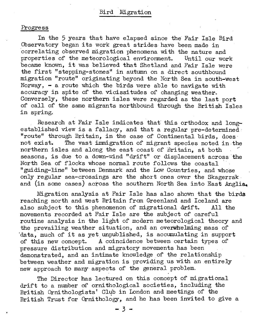#### Progress

In the 5 years that have elapsed since the Fair Isle Bird Observatory began its work great strides have been made in correlating observed migration phenomena with the nature and properties of the meteorological environment. Until our work became known, it was believed that Shetland and Fair Isle were the first "stepping-stones" in autumn on a direct southbound migration "route" originating beyond the North Sea in south-west Norway,  $\bullet$  a route which the birds were able to navigate with accuracy in spite of the, vicissitudes of changing weather. Conversely, these northern isles were regarded as the last port of call of the same migrants northbound through the British Isles in spring.

Research at Fair Isle indicates that this orthodox and longestablished view is a fallacy, and that a regular pre-determined "route" through Britain, in the case of Continental birds, does The vast immigration of migrant species noted in the northern isles and along the east coast of Britain, at both seasons, is due to a down-wind "drift" or displacement across the North Sea of flocks whose normal route follows the coastal "guiding-line" between Denmark and the Low Countries, and whose only regular sea-crossings are the short ones over the Skagerrak and (in some cases) across the southern North Sea into East Anglia.

Migration analysis at Fair Isle has also shown that the birds reaching north and west Britain from Greenland and Iceland are<br>also subject to this phenomenon of migrational drift. All the also subject to this phenomenon of migrational drift. movements recorded at Fair Isle are the subject of careful routine analysis in the light of modern meteorological theory and the prevailing weather situation, and an overwhelming mass of data, much of it as yet unpublished, is accumulating in support of this new concept. A coincidence between certain types of A coincidence between certain types of pressure distribution and migratory movements has been demonstrated, and an intimate knowledge of the relationship between weather and migration is providing us with an entirely new approach to many aspects of the general problem.

The Director has lectured on this concept of migrational drift to a number of ornithological societies, including the British Ornithologists' Club in London and meetings of the British Trust for Ornithology, and he has been invited to give a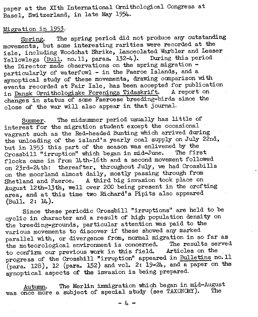paper at the XIth International Ornithological Congress at Basel, Switzerland, in late May 1954.

#### Migration in 1953.

Spring. The spring period did not produce any outstanding movements, but same interesting rarities were recorded at the isle, including Woodchat Shrike, Lanceolated Warbler and Lesser Yellowlegs (Bull. no. 11. paras. 132-4). During this period the Director made observations on the spring migration particularly of waterfowl - in the Faeroe Islands, and a synoptical study of these movements, drawing comparison with events recorded at Fair Isle, has been accepted for publication in Dansk Ornithologiske Forenings Tidsskrift. A report on changes in status of some Faeroese breeding-birds since the close of the war will also appear in that journal.

Summer. The midsummer period usually has little of interest for the migration student except the occasional vagrant such as the Red-headed Bunting which arrived during the unloading of the island's yearly coal supply on July 22nd. but in 1953 this part of the season was enlivened by the Creativity Theorem which began in mid-June. The first Crossbill "irruption" which began in mid-June. flocks came in from 14th-16th and a second movement followed on 23rd-24th: thereafter, throughout July, we had Crossbills on the moorland almost daily, mostly passing through from<br>Shetland and Faeroe. A third big invasion took place on A third big invasion took place on August 12th-13th, well over 200 being present in the crofting area, and at this time two Richard's Pipits also appeared  $(Bu11. 2: 14).$ 

Since these periodic Crossbill "irruptions" are held to be cyclic in character and a result of high population density on the breeding-grounds, particular attention was paid to the various movements to discover if these showed any marked parallel with, or divergence from, normal migration in so far as<br>the meteographical environment is concerned. The results served the meteorological environment is concerned. The results set<br>to confirm our previous work in this field. Articles on the to confirm our previous work in this field. progress of the Crossbill "irruption" appeared in Bulletins no. 11  $(para. 128)$ , 12  $(para. 152)$  and vol. 2:  $19-24$ , and a paper on the synoptical aspects of the invasion is being prepared,

Autumn. The Merlin immigration which began in mid-August was once more a subject of special study (see TAXONOMY).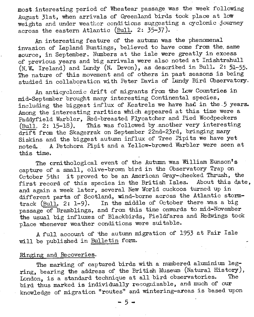most interesting period of Wheatear passage was the week following August 31st, when arrivals of Greenland birds took place at low weights and under weather conditions suggesting a cyclonic journey across the eastern Atlantic (Bull. 2: 35-37). .

An interesting feature of the autumn Was the phenomenal invasion of Lapland Buntings, believed to have come from the. same source, in September. Numbers at the isle were greatly in excess of previous years and big arrivals were also noted at Inishtrahull  $(N, \tilde{W}, \text{ Ireland})$  and Lundy  $(N, \text{Devon})$ , as described in Bull. 2: 51-55. The nature of this movement and of others in past seasons is being studied in collaboration with Peter Davis of Lundy Bird Observatory.

An anticyclonic drift of migrants from the Low Countries in mid-September brought many interesting Continental species, including the biggest influx of Kestrels we have had in the 5 years. Among the interesting rarities which appeared at this time were a Paddyfield Warbler, Red-breasted Flycatcher and Pied Woodpeckers (Bull. 2: 15-18). This was followed by.another very interesting drift from the Skagerrak on September 22nd-23rd, bringing many Siskins and the biggest autumn influx of Tree Pipits we have yet noted. A Petchora Pipit and a Yellow-browed Warbler were seen at this time.

The ornithological event of the Autumn was William Eunson's capture of a small, olive-brown bird in the Observatory Trap on October 5th: it proved to be an American Gray-cheeked Thrush, the first record of this species in the British Isles. About this date. and again a week later, several New World cuckoos turned up in different parts of Scotland, wind-borne across the Atlantic stormtrack (Bull. 2: 1-9). In the middle of October there was a big passage of Bramblings, and from this time onwards to mid-November the usual big influxes of Blackbirds, Fieldfares and Redwings took place whenever weather conditions were sui table.

A full account of the autumn migration of 1953 at Fair Isle will be published in Bulletin form.

#### Ringing and Recoveries.

The marking of captured birds with a numbered aluminium legring, bearing the address of the British Museum (Natural History),  $I_{\text{coulon}}$ , is a standard technique at all bird observatories. The London, is a standard technique at all bird observatories. bird thus marked is individually recognisable, and much of our knowledge of migration "routes" and wintering-areas is based upon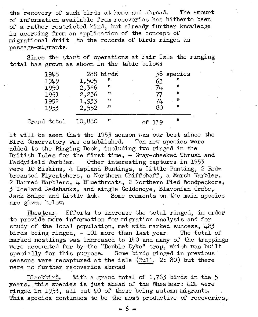the recovery of such birds at home and abroad. The amount of information available from recoveries has hitherto been of a rather restricted kind, but already further knowledge is accruing from an application of the concept of migrational drift to the records of birds ringed as passage-migrants.

Since the start of operations at Fair Isle the ringing total has grown as shown in the table below:

| 1948<br>1949<br>1950 | 1,505<br>2,366 | 288 birds<br>n<br>n | 63<br>74 | 38 species<br>n<br>n |
|----------------------|----------------|---------------------|----------|----------------------|
| 1951                 | 2,236          | 11                  |          | 11                   |
| 1952                 | 1,933          | Ħ                   | 74       | 11                   |
| 1953                 | 2,552          | - 11                | 80       | Ħ                    |
| Grand total          | 10,880         | 11                  | of 119   | n                    |

It will be seen that the 1953 season was our best since the<br>Bird Observatory was established. Ten new species were Bird Observatory was established. added to the Ringing Book, including two ringed in the British Isles for the first time,  $-$  Gray-cheeked Thrush and Paddyfield Warbler. Other interesting captures in 1953 were 10 Siskins, 4 Lapland Buntings, a Little Bunting, 2 Redbreasted Flycatchers, a Northern Chiffchaff, a Marsh Warbler, 2 Barred Warblers, 4 Bluethroats, 2 Northern Pied Woodpeckers; 3 Iceland Redshanks, and single Goldeneye, Slavonian Grebe, Jack Snipe and Little Auk. Some comments on the main species are given below.

Wheatear. Efforts to increase the total ringed, in order to provide more information for migration analysis and for study of the local population, met with marked success, 483 birds being ringed, - 101 more than last year. The total of marked nestlings was increased to 140 and many of the trappings were accounted for by the "Double Dyke"  $trap,$  which was built specially for this purpose. Some birds ringed in previous seasons were recaptured at the isle (Bull. 2: 80) but there were no further recoveries abroad,

Blackbira. With a grand total of 1,763 birds in the 5  $years, this species is just ahead of the Wheatear:  $424$  were$ ringed in 1953, all but  $40$  of these being autumn migrants. This species continues to be the most productive of recoveries,

 $- 6 -$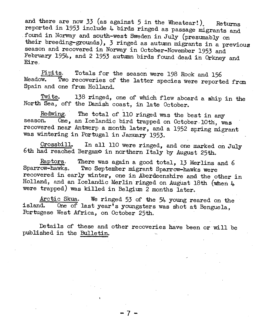and there are now 33 (as against 5 in the Wheatear!). Returns reported in 1953 include 4. birds ringed as passage migrants and found in Norway and south-west Sweden in July (presumably on their breeding-grounds), 3 ringed as autumn migrants in a previous season and recovered in Norway in October-November 1953 and February 1954, and 2 1953 autumn birds found dead in Orkney and Eire.

Pipits. Totals for the season were 198 Rock and 156 Two recoveries of the latter species were reported from Spain and one from Holland.

Twite. 138 ringed, one of which flew aboard a ship in the North Sea, off the Danish coast, in late October.

Redwing. The total of 110 ringed was the best in any season. One, an Icelandic bird trapped on October 10th, was recovered near Antwerp a month later, and a 1952 spring migrant was wintering in Portugal in January 1953.

Crossbill. In all 110 were ringed, and one marked on July 6th had reached BergamO in northern Italy by August 25th.

Raptors. There was again a good total, 13 Merlins and  $6$ Sparrow-hawks. Two September migrant Sparrow-hawks were recovered in' early winter, one in Aberdeenshire and the other in Holland, and an Icelandic Merlin ringed on August 18th (when  $4$ were trapped) was killed in Belgium 2 months later.

Arctic Skua. We ringed 53 of the 54 young reared on the island. One of last year's youngsters was shot at Benguela, Portugese West Africa, on October 25th.

Details of these and other recoveries have been or will be published in the Bulletin.

 $\cdot$  /  $-$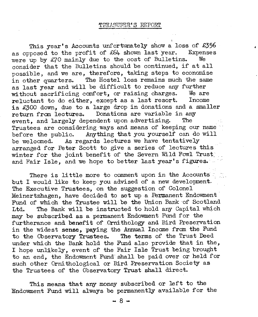This year's Accounts unfortunately show a loss of £356 mosed to the profit of  $£64$  shown last year. Expenses as opposed to the profit of  $£64$  shown last year. Expenses we know the cost of Bulletins. were up by  $E/10$  mainly due to the cost of Bulletins. consider that the Bulletins should be continued, if at all possible, and we are, therefore, taking steps to economise in other quarters. The Hostel loss remains much the same as last year and will be difficult to reduce any further<br>without sacrificing confort, or raising charges. We are without sacrificing comfort, or raising charges. We are<br>reluctant to do either, except as a last resort. Income reluctant to do either, except as a last resort. is £300 down, due to a large drop in donations and a smaller return from lectures. Donations are variable in any event and largely dependent upon advertising. The event, and largely dependent upon advertising. Trustees are considering ways and means of keeping our name . before the public. Anything that you yourself can do will<br>be welcomed. As regards lectures we have tentatively As regards lectures we have tentatively arranged for Peter Scott to give a series of lectures this winter for the joint benefit of the Severn Wild Fowl Trust and Fair Isle, and we hope to better last year's figures.

There is little more to comment upon in the Accounts and but I would like to keep you advised of a new development. The Executive Trustees, on the suggestion of Colonel Meinertzhagen, have decided to set up a Permanent Endowment Fund of which the Trustee will be the Union Bank of Scotland<br>Ltd. The Bank will be instructed to hold any Capital which The Bank will be instructed to hold any Capital which may be subscribed as a permanent Endowment Fund for the furtherance and benefit of Ornithology and Bird Preservation in the widest sense, paying the Annual Income from the Fund to the Observatory Trustees. The terms of the Trust Deed under which the Bank hold the Fund also provide that in the, I hope unlikely, event of the Fair Isle Trust being brought to an end, the Endowment Fund' shall be paid over or held for such other Ornithological or Bird Preservation Society as the Trustees of the Observatory Trust shall direct.

This means that any money subscribed or left to the Endowment Fund will always be permanently available for the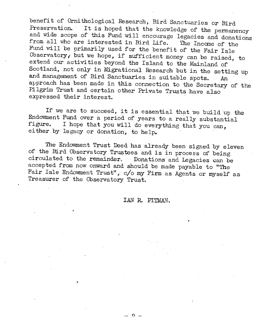benefit of Ornithological Research, Bird Sanctuaries or Bird Preservation. It is hoped that the knowledge of the permanency and wide scope of this Fund will encourage legacies and donations from all who are interested in Bird Life. The Income of the from all who are interested in Bird Life. Fund will be primarily used for the benefit of the Fair Isle Observatory, but we hope, if sufficient money can be raised, to extend our activities beyond the Island to the Mainland of Scotland, not only in Migrational Research but in the setting up and management of Bird Sanctuaries in suitable spots. An approach has been made in this connection to the Secretary of the Pilgrim Trust and certain other Private Trusts have also expressed their interest.

If we are to succeed, it is essential that we build up the Endowment Fund over a period of years to a really substantial figure. I hope that you will do eventhing that you are I hope that you will do everything that you can, either by legacy or donation, to help.

The Endowment Trust Deed has already been signed by eleven of the Bird Observatory Trustees and is in process of being circulated to the remainder. Donations and Legacies can be Donations and Legacies can be accepted from now onward and should be made payable to "The Fair Isle Endowment Trust", c/o my Firm as Agents or myself as Treasurer of the Observatory Trust.

#### IAN R. PITMAN.

 $\Omega$   $\sim$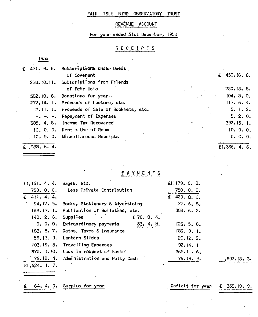#### FAIR ISLE BIRD OBSERVATORY TRUST

#### REVENUE ACCOUNT

For year ended 31st December, 1953

#### **RECEIPTS**

|               | £ 471. 9. 6. Subscriptions under Deeds      |             |  |
|---------------|---------------------------------------------|-------------|--|
|               | of Covenant                                 | £ 450.16.6. |  |
|               | 228.10.11. Subscriptions from Friends       |             |  |
|               | of Fair Isle                                | 250.15.5.   |  |
|               | $302.10.6.$ Donations for year $\lesssim$   | 104.8.0.    |  |
|               | 277.14. I. Proceeds of Lecture, etc.        | 117.6.4.    |  |
|               | 2.11.11. Proceeds of Sale of Booklets, etc. | 5.1.2.      |  |
|               | $-2$ $-2$ $-3$ Repayment of Expenses        | 5.2.0.      |  |
|               | 385. 4. 5. Income Tax Recovered             | 392.15.1    |  |
|               | $10. 0. 0.$ Rent $\sim$ Use of Room         | 10.0.0.     |  |
|               | . 10. 5. O. Miscellaneous Receipts          | 0.0.0.      |  |
| €1,688. 6. 4. |                                             | E1.336.4.6. |  |

PAYMENTS

| $£1,161, 4, 4, 4$ Wages, etc. |                                            | £1,179.0.0.       |             |
|-------------------------------|--------------------------------------------|-------------------|-------------|
|                               | 750. O. O. Less Private Contribution       | $750.0 \cdot 0.$  |             |
| £ 411.4.4.                    |                                            | $£$ 429. $Q$ , 0, |             |
|                               | 94.17. 9. Books, Stationery & Advertising  | 77.16.8.          |             |
|                               | 183.17. 1. Publication of Bulletins, etc.  | 308.622           |             |
| 140. 2. 6. Supplies           | £ 76. 0. 4.                                |                   |             |
|                               | 0. 0. 0. Extraordinary payments<br>53.4.8. | 129.5.0.          |             |
|                               | 183. 8. 7. Rates, Taxes & Insurance        | 189.9.1.          |             |
|                               | 56.17. 9. Lantern Slides                   | 20.12.2.          |             |
|                               | 103.19. 5. Travelling Expenses             | 92.14.11          |             |
|                               | 370. 1.10. Loss in respect of Hostel       | $365, 11.6$ .     |             |
|                               | 79.12. 4. Administration and Petty Cash    | 79.19.9.          | 1,692.15.3. |
| £1.624.1.7.                   |                                            |                   |             |

€ 64. 4. 9. Surplus fot" year Defioit for year f 356.10. 9.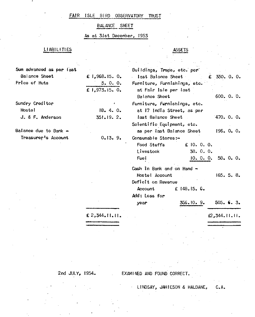#### FAIR ISLE BIRD OBSERVATORY TRUST

#### BALANCE SHEET

#### As at 31st December, 1953

#### LIABILITIES

#### **ASSETS**

| Sum advanced as per last          |                | Buildings, Traps, etc. per   |                |  |
|-----------------------------------|----------------|------------------------------|----------------|--|
| Balance Sheet                     | £ 1,968.15. 0. | last Balance Sheet           | ₤ 350.0.0.     |  |
| Price of Huts                     | 5.0.0.         | Furniture, Furnishings, etc. |                |  |
|                                   | £ 1,973.15. 0. | at Fair Isle per last        |                |  |
|                                   |                | Balance Sheet                | 600.0.0.       |  |
| Sundry Creditor                   |                | Furniture, Furnishings, etc. |                |  |
| Hoste!                            | 18.4.0.        | at 17 (ndia Street, as per   |                |  |
| J. & F. Anderson                  | 351.19.2.      | last Balance Sheet           | 470.0.0.       |  |
|                                   |                | Scientific Equipment, etc.   |                |  |
| Balance due to Bank $\rightarrow$ |                | as per last Balance Sheet    | 196.0.0.       |  |
| Treasurer's Account               | 0.13.9.        | Consumable Stores:-          |                |  |
|                                   |                | Food Stuffs<br>€ 10.0.0.     |                |  |
|                                   |                | Livestock<br>38.0.0.         |                |  |
|                                   |                | Fuel<br>10.0.0.              | 58.0.0.        |  |
|                                   |                | Cash in Bank and on Hand -   |                |  |
|                                   |                | Hostel Account               | 165.5.8.       |  |
|                                   |                | Deficit on Revenue           |                |  |
|                                   |                | Account<br>£ 148.15.6.       |                |  |
|                                   |                | Add: Loss for                |                |  |
|                                   |                | 356.10.9.<br>year            | $505.$ 6. 3.   |  |
|                                   | £ 2,344.11.11. |                              | \$2,344.11.11. |  |
|                                   |                |                              |                |  |
|                                   |                |                              |                |  |
|                                   |                |                              |                |  |
|                                   |                |                              |                |  |

2nd JULY, 1954. EXAMINED AND FOUND CORRECT.

LINDSAY. JAMfESON & HALDANE, C.A.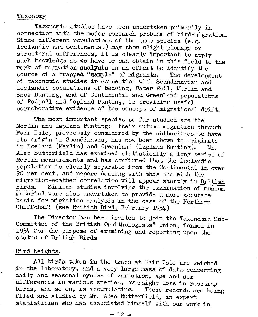#### Taxonomy

Taxonomic studies have been undertaken primarily in connection with the major research problem of bird-migration. Since different populations of the same species (e.g. Icelandic and Continental) may show slight plumage or structural differences, it is clearly important to apply such knowledge as we have or can obtain in this field to the work of migration **analysis** in an effort to identify the source of a trapped "sample" of migrants. The development source of a trapped  $n$  sample" of migrants. of taxonomic studies in connection wi th Scandinavian and Icelandic populations of Redwing, Water Rail, Merlin and Snow Bunting, and of Continental and Greenland populations of Redpoll and Lapland Bunting, is providing useful corroborative evidence of the concept of migrational drift.

The most important species so far studied are the Merlin and Lapland Bunting: their autumn migration through Fair Isle, previously considered by the authorities to have its origin in Scandinavia, has now been shown to originate in Iceland (Merlin) and Greenland (Lapland Bunting).  $Mr$ . Alec Butterfield has examined statistically a long series of Merlin measurements and has confirmed that the Icelandic population is clearly separable from the Continental in over 90 per cent, and papers dealing with this and with the migration-weather correlation will appear shortly in British<br>Birds. Similar studies involving the examination of muscum Similar studies involving the examination of museum material were also undertaken to provide a more accurate basis for migration analysis in the case of the Northern Chiffchaff (see British Birds February 1954-).

The Director has been invited to join the Taxonomic Sub-Committee of the British Ornithologists' Union, formed in . 1954 for the purpose of examining and reporting upon the status of British Birds.

#### Bird Weights.

All birds taken in the traps at Fair Isle are weighed in the laboratory, and a very large mass of data concerning daily and seasonal cycles of variation, age and sex differences in various species, overnight loss in roosting birds, and so on, is accumulating. These records are being filed and studied by Mr. Alec Butterfield, an expert statistician who has associated himself with our work in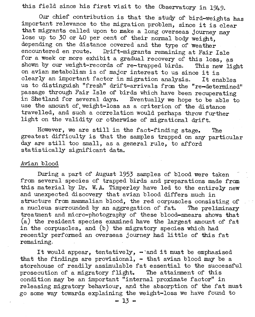this field since his first visit to the Observatory in 1949.

Our chief contribution is that the study of bird-weights has important relevance to the migration problem, since it is clear that migrants called upon to make a long overseas journey may lose up to 30 or 40 per cent of their normal body weight, depending on the distance covered and the type of weather<br>encountered en route. Drift-migrants remaining at Feir I Drift-migrants remaining at Fair Isle for a week or more exhibit a gradual recovery of this loss, as shown by our weight-records of re-trapped birds. This new light on avian metabolism is of major interest to us since it is clearly an important factor in migration analysis. It enables clearly an important factor in migration analysis. us to distinguish "fresh" drift-arrivals from the "re-determined" passage through Fair Isle of birds which have been recuperating<br>in Shetland for several days. Eventually we hope to be able to Eventually we hope to be able to use the amount of weight-loss as a criterion of the distance travelled, and such a correlation would perhaps throw further light on the validity or otherwise of migrational drirt.

However, we are still in the fact-finding stage. The greatest difficulty is that the samples trapped on any particular day are still too small, as a general rule, to afford statistically significant data.

#### Avian blood

During a part of August 1953 samples of blood were taken from several species of trapped birds and preparations made from this material by Dr. W. A. Timperley have led to the entirely new and unexpected discovery that avian blood difrers much in structure from mammalian blood, the red corpuscles consisting of a nucleus surrounded by an aggregation of fat. The preliminary treatment and micro-photography or these blood-smears shows that (a) the resident species examined have the largest amount of rat in the corpuscles, and (b) the migratory species which had recently performed an overseas journey had little of this fat remaining.

It would appear, tentatively,  $\rightarrow$  and it must be emphasised that the findings are provisional,  $-$  that avian blood may be a storehouse of readily assimulable fat essential to the successful<br>prosecution of a migratory flight. The attainment of this prosecution of a migratory flight. condition may be an important "internal proximate factor" in releasing migratory behaviour, and the absorption of the fat must go some way towards explaining the weight-loss we have found to

 $-13 -$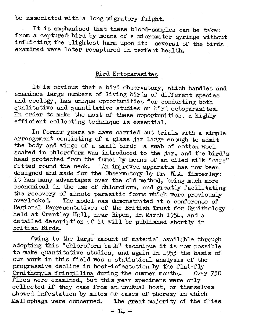be associated wi th a long migratory flight.

It is emphasised that these blood-samples can be taken from a captured bird by means of a micrometer syringe without inflicting the slightest harm upon it: several of the birds examined were later recaptured in perfect health.

#### Bird Ectoparasites

It is obvious that a bird observatory, which handles and examines large numbers of living birds of different species and ecology, has unique opportunities for conducting both qualitative and quantitative studies on bird ectoparasites. In order to make the most of these opportunities, a highly efficient collecting technique is essential.

In former years we have carried out trials with a simple arrangement consisting of a glass jar large enough to admit the body and wings of a small bird: a swab of cotton wool soaked in chloroform was introduced to the jar, and the bird's head protected from the fumes by means of an oiled silk "cape" fi tted round the neck. An improved apparatus has now been designed and made for the Observatory by Dr. W. A. Timperley: it has many advantages over the old method, being much more economical in the use of chloroform, and greatly facilitating the recovery of minute parasitic forms which were previously overlooked. The model was demonstrated at a conference of Regional Representatives of the British Trust for Ornithology held at Grantley Hall, near Ripon, in March 1954, and a detailed description of it will be published shortly in British Birds.

Owing .to the large amount of material available through adopting this "chloroform bath" technique it is now possible to make quantitative studies, and again in 1953 the basis of our work in this field was a statistical analysis of the progressive decline in host-infestation by the flat-fly Ornithamyia fringillina during the summer months. *Over 730*  flies were examined, but this year specimens were only collected if they came from an unusual host, or themselves showed infestation by mites or cases of phoresy in which Mallophaga were concerned. The great majority of the flies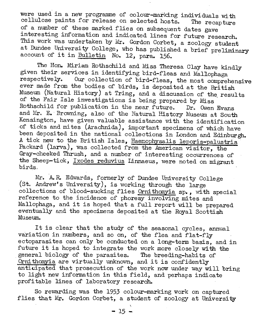were used in a new programme of colour-marking individuals with cellulose paints for release on selected hosts. The recapture of a number of these marked flies on subsequent dates gave interesting information and indicated lines for future research. This work was undertaken by Mr. Gordon Corbet, a zoology student at Dundee University College, who has published a brief preliminary account of it in Bulletin No. 12, para. 156.

The Hon. Miriam Rothschild and Miss Theresa Clay have kindly given their services in identifying bird-fleas and Mallophaga respectively. Our collection of bird-fleas, the most comprehensive ever made from the bodies of birds, is deposited at the British Museum (Natural History) at Tring, and a discussion of the results of the Fair Isle investigations is being prepared by Miss Rothschild for publication in the near future. Dr. Owen Evans and Mr. E. Browning, also of the Natural History Museum at South Kensington, have given valuable assistance with the identification of ticks and mi tes (Arachnida), important specimens of which have been deposited in the national collections in London and Edinburgh. A tick new to the British Isles, Haemophysalis leporis-palustris . Packard (larva), was collected from the American visitor, the Gray-cheeked Thrush, and a number of interesting occurrences of the Sheep-tick, Ixodes reduvius Linnaeus, were noted on migrant birds.

Mr. A.R. Edwards, formerly of Dundee University College (st. Andrew's University), is working through the large collections of blood-sucking flies Ornithomyia sp., with special reference to the incidence of phoresy involving mites and Mallophaga, and it is hoped that a full report will be prepared eventually and the specimens deposited at the Royal Scottish Museum.

It is clear that the study of the seasonal cycles, annual variation in numbers, and so on, of the flea and flat-fly ectoparasites can only be conducted on a long-term basis, and in future it is hoped to integrate the work more closely with the general biology of the parasites. The breeding-habits of Ornithomyia are virtually unknown, and it is confidently anticipated that prosecution of the work now under way will bring to light new information in this field, and perhaps indicate profitable lines of laboratory research.

So rewarding was the 1953 colour-marking work on captured flies that Mr. Gordon Corbet, a student of zoology at University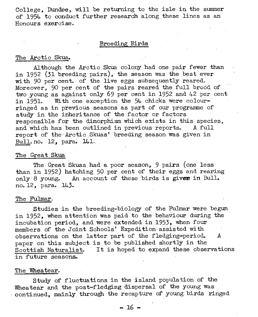College, Dundee, will be returning to the isle in the summer of 1954 to conduct further research along these lines as an Honours exercise.

#### Breeding Birds

#### The Arctic Skua.

Al though the Arctic Skua colony had one pair fewer than in 1952 (31 breeding pairs), the season was the best ever with 90 per cent. of the live eggs subsequently reared. Moreover, 90 per cent of the pairs reared the full brood of two young as against only 69 per cent in 1952 and 42 per cent in 1951. With one exception the 54 chicks were colourringed as in previous seasons as part of' our programme of' study in the inheritance of the factor or factors responsible for the dimorphism which exists in this species, and which has been outlined in previous reports. A full report of the Arctic Skuas' breeding season was given in Bull. no. 12, para. 141.

#### The Great Skua

The Great Skuas had a poor season, 9 pairs (one less than in 1952) hatching 50 per cent of their eggs and rearing only 8 young. An account of these birds is given in Bull. no. 12, para. 143.

#### The Fulmar,

Studies in the breeding-biology of the Fulmar were begun in 1952, when attention was paid to the behaviour during the incubation period, and were extended in 1953. when four members of' the Joint Schools' Expedition assisted with observations on the latter part of the fledging-period. A paper on this subject is to be published shortly in the Scottish Naturalist. It is hoped to expand these obse. It is hoped to expand these observations in future seasons.

#### The Wheatear.

Study of fluctuations in the island population of the Wheatear and the post-fledging dispersal of the young was - continued, mainly through the recapture of' young birds ringed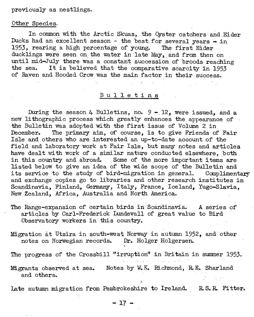previously as nestlings.

#### Other Species,

In common with the Arctic Skuas, the Oyster catchers and Eider Ducks had an excellent season - the best for several years  $\div$  in 1953, rearing a high percentage of young. The first Eider 1953, rearing a high percentage of young. ducklings were seen on the water in late May, and from then on until mid-July there was a constant succession of broods reaching<br>the sea. It is believed that the comparative scarcity in 1953 It is believed that the comparative scarcity in 1953 of Raven and Hooded Crow was the main factor in their success.

#### Bulletins

During the season 4 Bulletins, no.  $9 - 12$ , were issued, and a new lithographic process which greatly enhances the appearance of the Bulletin was adopted with the first issue of Volume 2 in<br>December. The primary aim. of course, is to give Friends of The primary aim, of course, is to give Friends of Fair Isle and others who are interested an up-to-date account of the field and laboratory work at Fair Isle, but many notes and articles have dealt with work of a similar nature conducted elsewhere, both in this country and abroad. Some of the more important items are listed below to give an idea of the wide scope of the Bulletin and its service to the study of bird-migration in general. Complimentary its service to the study of bird-migration in general. and exchange copies go to libraries and other research institutes in Scandinavia, Finland, Germany, Italy, France, Iceland, Yugo-Slavia. New Zealand, Africa, Australia and North America.

- The Range-expansion of certain birds in Scandinavia. A series of articles by Carl-Frederick Lundevall of great value to Bird Observatory workers in this country.
- Migration at Utsira in south-west Norway in autumn 1952, and other notes on Norwegian records. Dr. Holger Holgersen.
- The progress of the Crossbill "irruption" in Britain in summer 1953.
- Migrants observed at sea. Notes by W.K. Richmond, R.E. Sharland and others.

Late autumn migration from Pembrokeshire to Ireland. R.S.R. Fitter.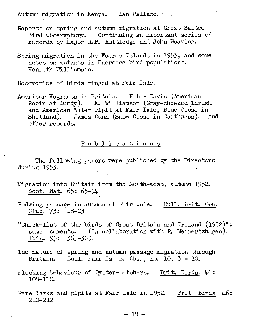#### Autumn migration in Kenya. Ian Wallace.

- Reports on spring and autumn migration at Great Sa1tee Bird Observatory. Continuing an important series of records by Major R.F. Ruttledge and John Weaving.
- Spring migration in the Faeroe Islands in 1953, and some notes on mutants in Faeroese bird populations. Kenneth Wi1liamson.

Recoveries of birds ringed at Fair Isle.

American Vagrants in Britain, Peter Davis (American Robin at Lundy). K. Williamson (Gray-cheeked Thrush and American Water Pipit at Fair Isle, Blue Goose in Shetland). James Gunn (Snow Goose in Caithness). And other records.

#### Pub 1 i cat ion s

The following papers were published by the Directors during 1953.

- Migration into Britain from the North-west, autumn 1952. Scot. Nat.  $65: 65-94$ .
- Redwing passage in autumn at Fair Isle.  $C1ub. 73: 18-23.$ Bull. Brit. Orn.
- "Check-list of the birds of Great Britain and Ireland (1952)": some comments.  $(In$  collaboration with R. Meinertzhagen). Ibis. 95: 365-369.
- The nature of spring and autumn passage migration through Britain. Bull. Fair Is. B. Obs., no.  $10, 3 - 10$ .
- Flocking behaviour of Qyster-catchers. 108-110. Brit. Birds,  $46:$
- Rare larks and pipits at Fair Isle in 1952. 210-212. Brit. Birds. 46: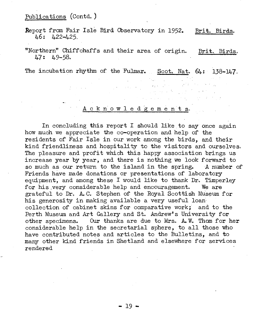#### Publications (Contd.)

Report from Fair Isle Bird Observatory in 1952. Brit. Birds.  $46: 422 - 425.$ 

"Northern" Chiffchaffs and their area of origin. Brit. Birds, 47: 49-58.

The incubation rhythm of the Fulmar. Scot. Nat.  $64: 138-147$ .

 $\mathcal{L}(\mathbf{r})$  , where  $\mathcal{L}(\mathbf{r})$  is a set of  $\mathcal{L}(\mathbf{r})$ 

#### A c k n o w l e d g e m e n t s.

Carl Corn

In concluding this report I should like to say once again how much we appreciate the co-operation and help of the residents of Fair Isle in our work among the birds, and their kind friendliness and hospitality to the visitors and ourselves, The pleasure and profit which this happy association brings us increase year by year, and there is nothing we look forward to so much as our return to the island in the spring. A number of so much as our return to the island in the spring. Friends have made donations or presentations of laboratory equipment, and among these I would like to thank Dr. Timperley for his very considerable help and encouragement. We are grateful to Dr. A.C. Stephen of the Royal Scottish Museum for his generosity in making available a very useful loan collection of cabinet skins for comparative work; and to the Perth Museum and Art Gallery and St. Andrew's University for other specimens. Our thanks are due to Mrs. A. W. Thom for her considerable help in the secretarial sphere, to all those who have contributed notes and articles to the Bulletins, and to many other kind friends in Shetland and elsewhere for services rendered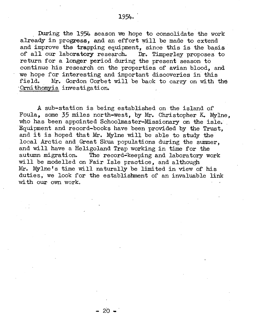During the 1954 season we hope to consolidate the work already in progress, and an effort will be made to extend and improve the trapping equipment, since this is the basis of all our laboratory research. Dr. Timperley proposes to of all our laboratory research. return for a longer period during the present season to continue his research on the properties of avian blood, and we hope for interesting and important discoveries in this<br>field. Mr. Gordon Corbet will be back to carry on with Mr. Gordon Corbet will be back to carry on with the Ornithomvia investigation.

A sub-station is being established on the island of' Foula, some 35 miles north-west, by Mr. Christopher K. Mylne, who has been appointed Schoolmaster-Missionary on the isle. Equipment and record-books have been provided by the Trust, and it is hoped that Mr. Mylne will be able to study the local Arctic and Great Skua populations during the summer, and will have a Heligoland Trap working in time for the autumn migration. The record-keeping and laboratory we The record-keeping and laboratory work will be modelled on Fair Isle practice, and although Mr. Mylne's time will naturally be limited in view of his duties, we look for the establishment of an invaluable link with our own work.